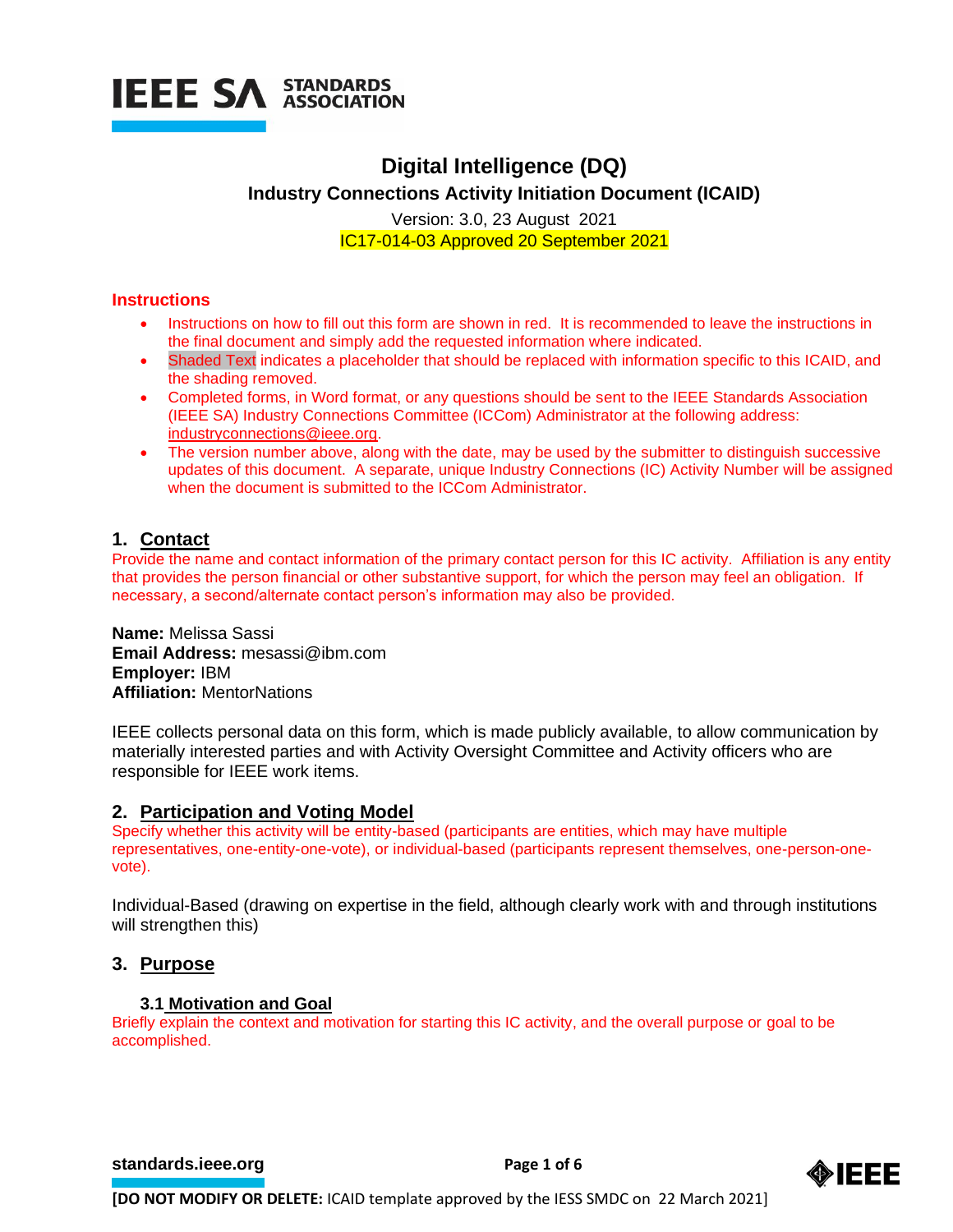

# **Digital Intelligence (DQ) Industry Connections Activity Initiation Document (ICAID)**

Version: 3.0, 23 August 2021 IC17-014-03 Approved 20 September 2021

## **Instructions**

- Instructions on how to fill out this form are shown in red. It is recommended to leave the instructions in the final document and simply add the requested information where indicated.
- Shaded Text indicates a placeholder that should be replaced with information specific to this ICAID, and the shading removed.
- Completed forms, in Word format, or any questions should be sent to the IEEE Standards Association (IEEE SA) Industry Connections Committee (ICCom) Administrator at the following address: [industryconnections@ieee.org.](mailto:industryconnections@ieee.org)
- The version number above, along with the date, may be used by the submitter to distinguish successive updates of this document. A separate, unique Industry Connections (IC) Activity Number will be assigned when the document is submitted to the ICCom Administrator.

# **1. Contact**

Provide the name and contact information of the primary contact person for this IC activity. Affiliation is any entity that provides the person financial or other substantive support, for which the person may feel an obligation. If necessary, a second/alternate contact person's information may also be provided.

**Name:** Melissa Sassi **Email Address:** mesassi@ibm.com **Employer:** IBM **Affiliation:** MentorNations

IEEE collects personal data on this form, which is made publicly available, to allow communication by materially interested parties and with Activity Oversight Committee and Activity officers who are responsible for IEEE work items.

# **2. Participation and Voting Model**

Specify whether this activity will be entity-based (participants are entities, which may have multiple representatives, one-entity-one-vote), or individual-based (participants represent themselves, one-person-onevote).

Individual-Based (drawing on expertise in the field, although clearly work with and through institutions will strengthen this)

# **3. Purpose**

#### **3.1 Motivation and Goal**

Briefly explain the context and motivation for starting this IC activity, and the overall purpose or goal to be accomplished.

**[standards.ieee.org](http://standards.ieee.org/)**<br> **Page 1 of 6** 

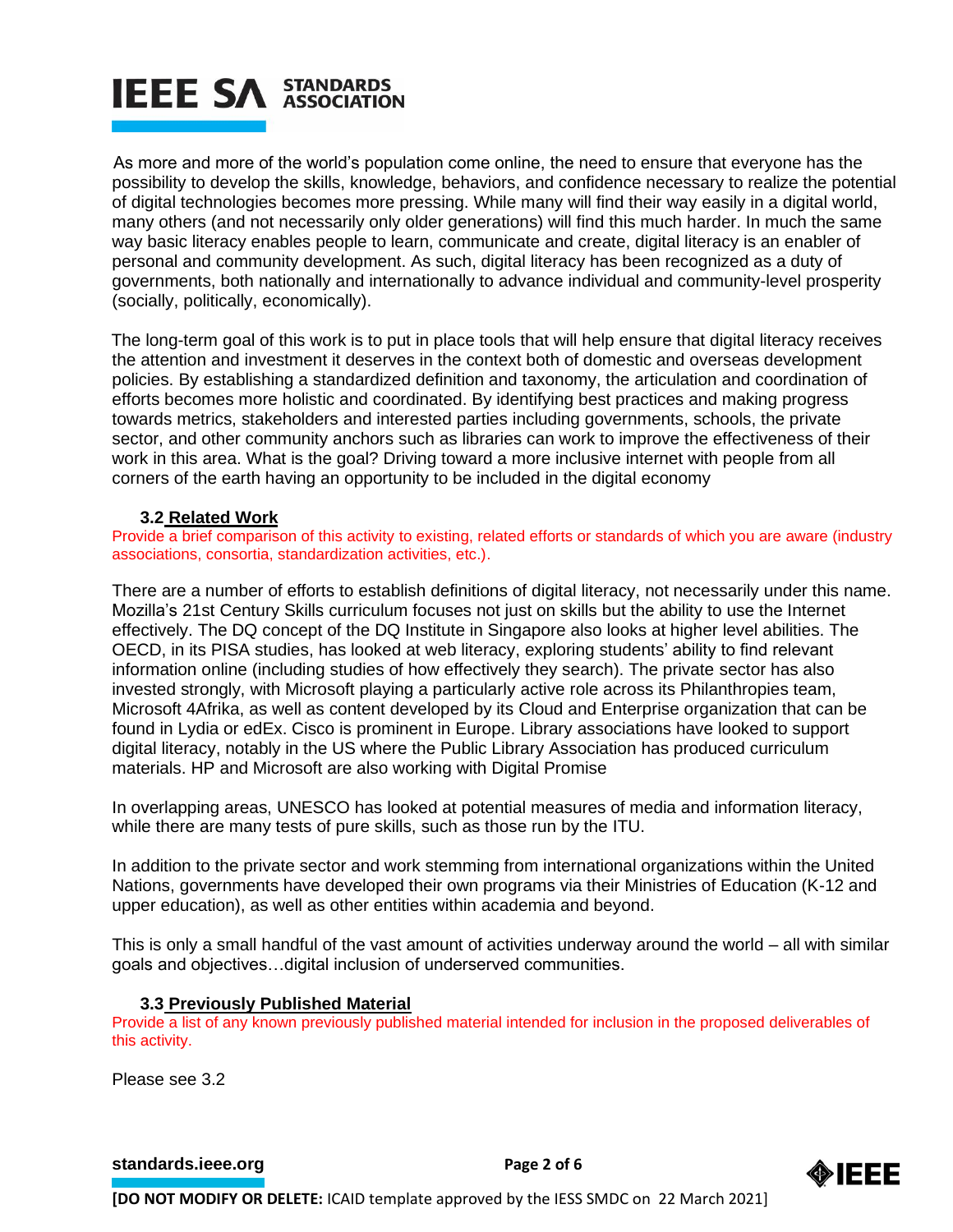# **IEEE SA STANDARDS**

As more and more of the world's population come online, the need to ensure that everyone has the possibility to develop the skills, knowledge, behaviors, and confidence necessary to realize the potential of digital technologies becomes more pressing. While many will find their way easily in a digital world, many others (and not necessarily only older generations) will find this much harder. In much the same way basic literacy enables people to learn, communicate and create, digital literacy is an enabler of personal and community development. As such, digital literacy has been recognized as a duty of governments, both nationally and internationally to advance individual and community-level prosperity (socially, politically, economically).

The long-term goal of this work is to put in place tools that will help ensure that digital literacy receives the attention and investment it deserves in the context both of domestic and overseas development policies. By establishing a standardized definition and taxonomy, the articulation and coordination of efforts becomes more holistic and coordinated. By identifying best practices and making progress towards metrics, stakeholders and interested parties including governments, schools, the private sector, and other community anchors such as libraries can work to improve the effectiveness of their work in this area. What is the goal? Driving toward a more inclusive internet with people from all corners of the earth having an opportunity to be included in the digital economy

### **3.2 Related Work**

Provide a brief comparison of this activity to existing, related efforts or standards of which you are aware (industry associations, consortia, standardization activities, etc.).

There are a number of efforts to establish definitions of digital literacy, not necessarily under this name. Mozilla's 21st Century Skills curriculum focuses not just on skills but the ability to use the Internet effectively. The DQ concept of the DQ Institute in Singapore also looks at higher level abilities. The OECD, in its PISA studies, has looked at web literacy, exploring students' ability to find relevant information online (including studies of how effectively they search). The private sector has also invested strongly, with Microsoft playing a particularly active role across its Philanthropies team, Microsoft 4Afrika, as well as content developed by its Cloud and Enterprise organization that can be found in Lydia or edEx. Cisco is prominent in Europe. Library associations have looked to support digital literacy, notably in the US where the Public Library Association has produced curriculum materials. HP and Microsoft are also working with Digital Promise

In overlapping areas, UNESCO has looked at potential measures of media and information literacy, while there are many tests of pure skills, such as those run by the ITU.

In addition to the private sector and work stemming from international organizations within the United Nations, governments have developed their own programs via their Ministries of Education (K-12 and upper education), as well as other entities within academia and beyond.

This is only a small handful of the vast amount of activities underway around the world – all with similar goals and objectives…digital inclusion of underserved communities.

#### **3.3 Previously Published Material**

Provide a list of any known previously published material intended for inclusion in the proposed deliverables of this activity.

Please see 3.2

**[standards.ieee.org](http://standards.ieee.org/)**<br> **Page 2 of 6** 

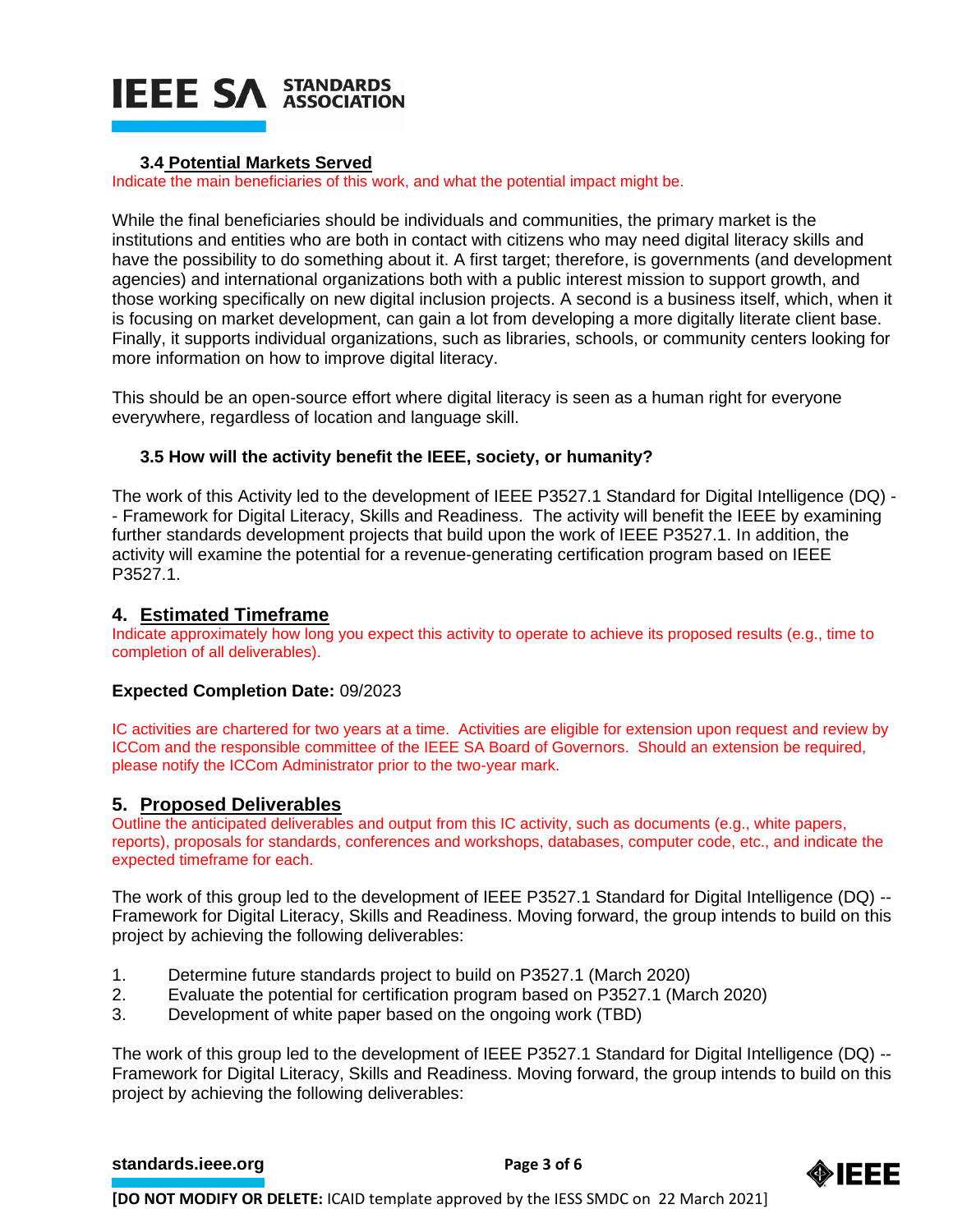

#### **3.4 Potential Markets Served**

Indicate the main beneficiaries of this work, and what the potential impact might be.

While the final beneficiaries should be individuals and communities, the primary market is the institutions and entities who are both in contact with citizens who may need digital literacy skills and have the possibility to do something about it. A first target; therefore, is governments (and development agencies) and international organizations both with a public interest mission to support growth, and those working specifically on new digital inclusion projects. A second is a business itself, which, when it is focusing on market development, can gain a lot from developing a more digitally literate client base. Finally, it supports individual organizations, such as libraries, schools, or community centers looking for more information on how to improve digital literacy.

This should be an open-source effort where digital literacy is seen as a human right for everyone everywhere, regardless of location and language skill.

### **3.5 How will the activity benefit the IEEE, society, or humanity?**

The work of this Activity led to the development of IEEE P3527.1 Standard for Digital Intelligence (DQ) - - Framework for Digital Literacy, Skills and Readiness. The activity will benefit the IEEE by examining further standards development projects that build upon the work of IEEE P3527.1. In addition, the activity will examine the potential for a revenue-generating certification program based on IEEE P3527.1.

### **4. Estimated Timeframe**

Indicate approximately how long you expect this activity to operate to achieve its proposed results (e.g., time to completion of all deliverables).

#### **Expected Completion Date:** 09/2023

IC activities are chartered for two years at a time. Activities are eligible for extension upon request and review by ICCom and the responsible committee of the IEEE SA Board of Governors. Should an extension be required, please notify the ICCom Administrator prior to the two-year mark.

# **5. Proposed Deliverables**

Outline the anticipated deliverables and output from this IC activity, such as documents (e.g., white papers, reports), proposals for standards, conferences and workshops, databases, computer code, etc., and indicate the expected timeframe for each.

The work of this group led to the development of IEEE P3527.1 Standard for Digital Intelligence (DQ) -- Framework for Digital Literacy, Skills and Readiness. Moving forward, the group intends to build on this project by achieving the following deliverables:

- 1. Determine future standards project to build on P3527.1 (March 2020)
- 2. Evaluate the potential for certification program based on P3527.1 (March 2020)
- 3. Development of white paper based on the ongoing work (TBD)

The work of this group led to the development of IEEE P3527.1 Standard for Digital Intelligence (DQ) -- Framework for Digital Literacy, Skills and Readiness. Moving forward, the group intends to build on this project by achieving the following deliverables:

#### **[standards.ieee.org](http://standards.ieee.org/)**<br> **Page 3 of 6**



**[DO NOT MODIFY OR DELETE:** ICAID template approved by the IESS SMDC on 22 March 2021]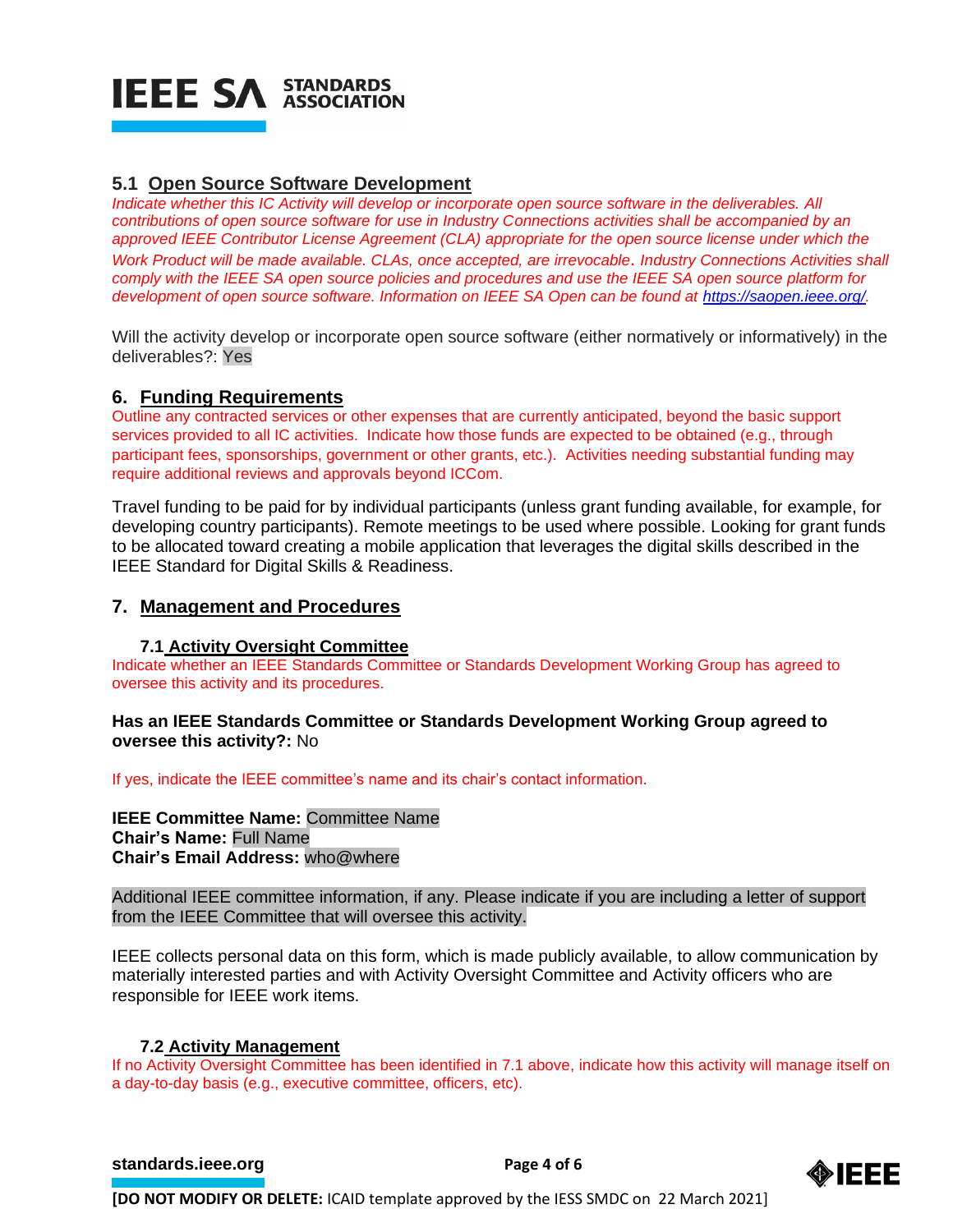# **IEEE SA STANDARDS**

# **5.1 Open Source Software Development**

*Indicate whether this IC Activity will develop or incorporate open source software in the deliverables. All contributions of open source software for use in Industry Connections activities shall be accompanied by an approved IEEE Contributor License Agreement (CLA) appropriate for the open source license under which the Work Product will be made available. CLAs, once accepted, are irrevocable. Industry Connections Activities shall comply with the IEEE SA open source policies and procedures and use the IEEE SA open source platform for development of open source software. Information on IEEE SA Open can be found at [https://saopen.ieee.org/.](https://saopen.ieee.org/)* 

Will the activity develop or incorporate open source software (either normatively or informatively) in the deliverables?: Yes

# **6. Funding Requirements**

Outline any contracted services or other expenses that are currently anticipated, beyond the basic support services provided to all IC activities. Indicate how those funds are expected to be obtained (e.g., through participant fees, sponsorships, government or other grants, etc.). Activities needing substantial funding may require additional reviews and approvals beyond ICCom.

Travel funding to be paid for by individual participants (unless grant funding available, for example, for developing country participants). Remote meetings to be used where possible. Looking for grant funds to be allocated toward creating a mobile application that leverages the digital skills described in the IEEE Standard for Digital Skills & Readiness.

# **7. Management and Procedures**

#### **7.1 Activity Oversight Committee**

Indicate whether an IEEE Standards Committee or Standards Development Working Group has agreed to oversee this activity and its procedures.

#### **Has an IEEE Standards Committee or Standards Development Working Group agreed to oversee this activity?:** No

If yes, indicate the IEEE committee's name and its chair's contact information.

# **IEEE Committee Name:** Committee Name **Chair's Name:** Full Name **Chair's Email Address:** who@where

Additional IEEE committee information, if any. Please indicate if you are including a letter of support from the IEEE Committee that will oversee this activity.

IEEE collects personal data on this form, which is made publicly available, to allow communication by materially interested parties and with Activity Oversight Committee and Activity officers who are responsible for IEEE work items.

# **7.2 Activity Management**

If no Activity Oversight Committee has been identified in 7.1 above, indicate how this activity will manage itself on a day-to-day basis (e.g., executive committee, officers, etc).

#### **[standards.ieee.org](http://standards.ieee.org/) Page 4 of 6**



**[DO NOT MODIFY OR DELETE:** ICAID template approved by the IESS SMDC on 22 March 2021]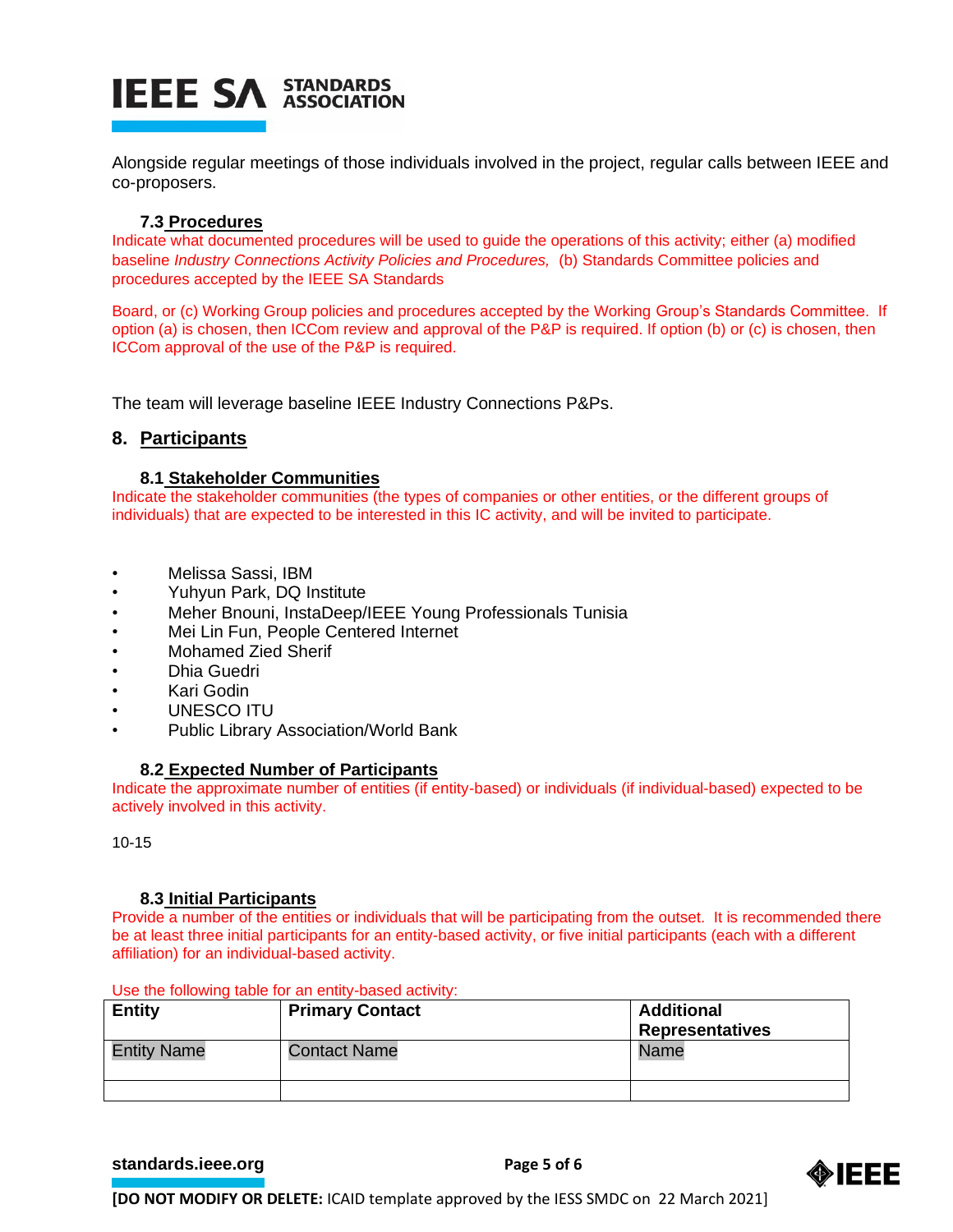# **IEEE SA STANDARDS**

Alongside regular meetings of those individuals involved in the project, regular calls between IEEE and co-proposers.

# **7.3 Procedures**

Indicate what documented procedures will be used to guide the operations of this activity; either (a) modified baseline *Industry Connections Activity Policies and Procedures,* (b) Standards Committee policies and procedures accepted by the IEEE SA Standards

Board, or (c) Working Group policies and procedures accepted by the Working Group's Standards Committee. If option (a) is chosen, then ICCom review and approval of the P&P is required. If option (b) or (c) is chosen, then ICCom approval of the use of the P&P is required.

The team will leverage baseline IEEE Industry Connections P&Ps.

# **8. Participants**

### **8.1 Stakeholder Communities**

Indicate the stakeholder communities (the types of companies or other entities, or the different groups of individuals) that are expected to be interested in this IC activity, and will be invited to participate.

- Melissa Sassi, IBM
- Yuhyun Park, DQ Institute
- Meher Bnouni, InstaDeep/IEEE Young Professionals Tunisia
- Mei Lin Fun, People Centered Internet
- Mohamed Zied Sherif
- Dhia Guedri
- Kari Godin
- UNESCO ITU
- Public Library Association/World Bank

#### **8.2 Expected Number of Participants**

Indicate the approximate number of entities (if entity-based) or individuals (if individual-based) expected to be actively involved in this activity.

10-15

#### **8.3 Initial Participants**

Provide a number of the entities or individuals that will be participating from the outset. It is recommended there be at least three initial participants for an entity-based activity, or five initial participants (each with a different affiliation) for an individual-based activity.

| <b>Entity</b>      | <b>Primary Contact</b> | <b>Additional</b><br><b>Representatives</b> |
|--------------------|------------------------|---------------------------------------------|
| <b>Entity Name</b> | <b>Contact Name</b>    | Name                                        |
|                    |                        |                                             |

Use the following table for an entity-based activity:

**[standards.ieee.org](http://standards.ieee.org/) EXECUTE: Page 5 of 6** 



**[DO NOT MODIFY OR DELETE:** ICAID template approved by the IESS SMDC on 22 March 2021]